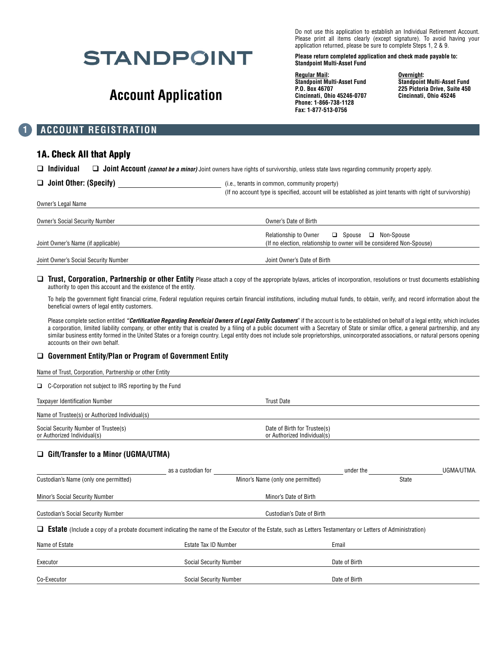# **STANDPOINT**

# **Account Application**

Do not use this application to establish an Individual Retirement Account. Please print all items clearly (except signature). To avoid having your application returned, please be sure to complete Steps 1, 2 & 9.

#### **Please return completed application and check made payable to: Standpoint Multi-Asset Fund**

**Regular Mail: Standpoint Multi-Asset Fund P.O. Box 46707 Cincinnati, Ohio 45246-0707 Phone: 1-866-738-1128 Fax: 1-877-513-0756**

**Overnight: Standpoint Multi-Asset Fund 225 Pictoria Drive, Suite 450 Cincinnati, Ohio 45246**

## **1 ACCOUNT REGISTRATION**

## 1A. Check All that Apply

q **Individual** q **Joint Account** *(cannot be a minor)* Joint owners have rights of survivorship, unless state laws regarding community property apply.

| $\Box$ Joint Other: (Specify)         | (i.e., tenants in common, community property)<br>(If no account type is specified, account will be established as joint tenants with right of survivorship) |
|---------------------------------------|-------------------------------------------------------------------------------------------------------------------------------------------------------------|
| Owner's Legal Name                    |                                                                                                                                                             |
| <b>Owner's Social Security Number</b> | Owner's Date of Birth                                                                                                                                       |
| Joint Owner's Name (if applicable)    | <b>Relationship to Owner</b><br>$\Box$ Spouse<br>□ Non-Spouse<br>(If no election, relationship to owner will be considered Non-Spouse)                      |
| Joint Owner's Social Security Number  | Joint Owner's Date of Birth                                                                                                                                 |

#### □ Trust, Corporation, Partnership or other Entity Please attach a copy of the appropriate bylaws, articles of incorporation, resolutions or trust documents establishing authority to open this account and the existence of the entity.

To help the government fight financial crime, Federal regulation requires certain financial institutions, including mutual funds, to obtain, verify, and record information about the beneficial owners of legal entity customers.

Please complete section entitled "Certification Regarding Beneficial Owners of Legal Entity Customers" if the account is to be established on behalf of a legal entity, which includes a corporation, limited liability company, or other entity that is created by a filing of a public document with a Secretary of State or similar office, a general partnership, and any similar business entity formed in the United States or a foreign country. Legal entity does not include sole proprietorships, unincorporated associations, or natural persons opening accounts on their own behalf.

## □ Government Entity/Plan or Program of Government Entity

Name of Trust, Corporation, Partnership or other Entity

□ C-Corporation not subject to IRS reporting by the Fund

| Taxpayer Identification Number                                      | <b>Trust Date</b>                                           |
|---------------------------------------------------------------------|-------------------------------------------------------------|
| Name of Trustee(s) or Authorized Individual(s)                      |                                                             |
| Social Security Number of Trustee(s)<br>or Authorized Individual(s) | Date of Birth for Trustee(s)<br>or Authorized Individual(s) |

## □ Gift/Transfer to a Minor (UGMA/UTMA)

|                                                                                                                                                                     | as a custodian for     | under the                         |       | UGMA/UTMA. |
|---------------------------------------------------------------------------------------------------------------------------------------------------------------------|------------------------|-----------------------------------|-------|------------|
| Custodian's Name (only one permitted)                                                                                                                               |                        | Minor's Name (only one permitted) | State |            |
| Minor's Social Security Number                                                                                                                                      |                        | Minor's Date of Birth             |       |            |
| <b>Custodian's Social Security Number</b>                                                                                                                           |                        | Custodian's Date of Birth         |       |            |
| <b>E</b> Estate (Include a copy of a probate document indicating the name of the Executor of the Estate, such as Letters Testamentary or Letters of Administration) |                        |                                   |       |            |
| Name of Estate                                                                                                                                                      | Estate Tax ID Number   | Email                             |       |            |
| Executor                                                                                                                                                            | Social Security Number | Date of Birth                     |       |            |
| Co-Executor                                                                                                                                                         | Social Security Number | Date of Birth                     |       |            |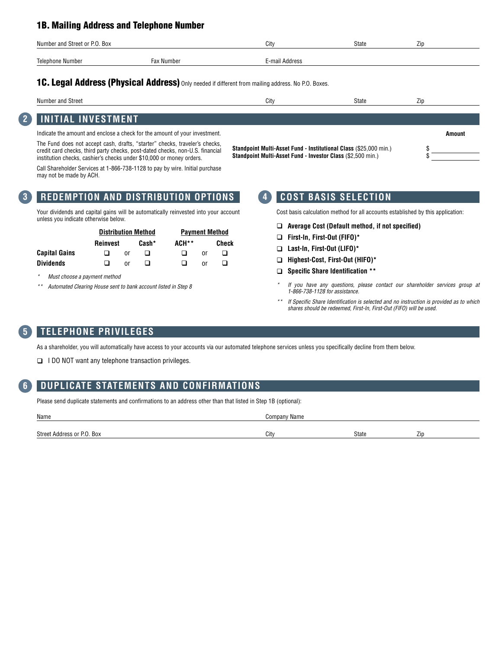## 1B. Mailing Address and Telephone Number

| Number and Street or P.O. Box |                                                                                                                                                                                                                                      | City                                                                                                                             | State | Zip    |
|-------------------------------|--------------------------------------------------------------------------------------------------------------------------------------------------------------------------------------------------------------------------------------|----------------------------------------------------------------------------------------------------------------------------------|-------|--------|
| <b>Telephone Number</b>       | <b>Fax Number</b>                                                                                                                                                                                                                    | E-mail Address                                                                                                                   |       |        |
|                               | 1C. Legal Address (Physical Address) Only needed if different from mailing address. No P.O. Boxes.                                                                                                                                   |                                                                                                                                  |       |        |
| <b>Number and Street</b>      |                                                                                                                                                                                                                                      | City                                                                                                                             | State | Zip    |
| <b>INITIAL INVESTMENT</b>     |                                                                                                                                                                                                                                      |                                                                                                                                  |       |        |
|                               | Indicate the amount and enclose a check for the amount of your investment.                                                                                                                                                           |                                                                                                                                  |       | Amount |
|                               | The Fund does not accept cash, drafts, "starter" checks, traveler's checks,<br>credit card checks, third party checks, post-dated checks, non-U.S. financial<br>institution checks, cashier's checks under \$10,000 or money orders. | Standpoint Multi-Asset Fund - Institutional Class (\$25,000 min.)<br>Standpoint Multi-Asset Fund - Investor Class (\$2,500 min.) |       |        |

Call Shareholder Services at 1-866-738-1128 to pay by wire. Initial purchase may not be made by ACH.

## **3 REDEMPTION AND DISTRIBUTION OPTIONS**

Your dividends and capital gains will be automatically reinvested into your account unless you indicate otherwise below.

|                      | <b>Distribution Method</b> |    | <b>Payment Method</b> |       |    |       |
|----------------------|----------------------------|----|-----------------------|-------|----|-------|
|                      | Reinvest                   |    | Cash*                 | ACH** |    | Check |
| <b>Capital Gains</b> |                            | or |                       |       | o٢ |       |
| <b>Dividends</b>     |                            | or |                       |       | or |       |

*\* Must choose a payment method*

*\*\* Automated Clearing House sent to bank account listed in Step 8*

**4 COST BASIS SELECTION**

Cost basis calculation method for all accounts established by this application:

- q **Average Cost (Default method, if not specified)**
- q **First-In, First-Out (FIFO)\***
- q **Last-In, First-Out (LIFO)\***
- q **Highest-Cost, First-Out (HIFO)\***
- q **Specific Share Identification \*\***
- *\* If you have any questions, please contact our shareholder services group at 1-866-738-1128 for assistance.*
- *If Specific Share Identification is selected and no instruction is provided as to which shares should be redeemed, First-In, First-Out (FIFO) will be used.*

As a shareholder, you will automatically have access to your accounts via our automated telephone services unless you specifically decline from them below.

**Q** I DO NOT want any telephone transaction privileges.

**5 TELEPHONE PRIVILEGES**

## **6 DUPLICATE STATEMENTS AND CONFIRMATIONS**

Please send duplicate statements and confirmations to an address other than that listed in Step 1B (optional):

| Name                               | Company Name |              |                             |
|------------------------------------|--------------|--------------|-----------------------------|
| Street Address or P.O.<br>P.O. Box | City         | <b>State</b> | -<br>$\frac{1}{2}$<br>– Liv |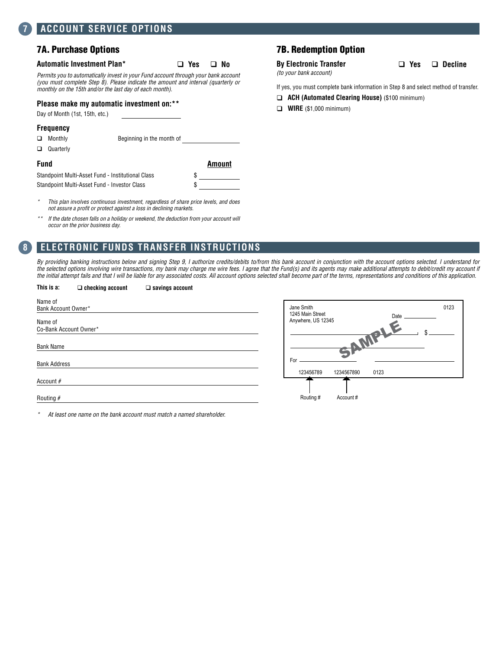## **7 ACCOUNT SERVICE OPTIONS**

## 7A. Purchase Options

## **Automatic Investment Plan\*** q **Yes** q **No**

*Permits you to automatically invest in your Fund account through your bank account (you must complete Step 8). Please indicate the amount and interval (quarterly or monthly on the 15th and/or the last day of each month).*

#### **Please make my automatic investment on:\*\***

Day of Month (1st, 15th, etc.)

### **Frequency**

Quarterly

 $\Box$  Monthly Beginning in the month of

**Fund Amount**

| Standpoint Multi-Asset Fund - Institutional Class |  |
|---------------------------------------------------|--|
| Standpoint Multi-Asset Fund - Investor Class      |  |

*\* This plan involves continuous investment, regardless of share price levels, and does not assure a profit or protect against a loss in declining markets.*

*\*\* If the date chosen falls on a holiday or weekend, the deduction from your account will occur on the prior business day.*

## 7B. Redemption Option

**By Electronic Transfer**  *(to your bank account)*

q **Yes** q **Decline**

If yes, you must complete bank information in Step 8 and select method of transfer.

- q **ACH (Automated Clearing House)** (\$100 minimum)
- **Q WIRE** (\$1,000 minimum)

## **8 ELECTRONIC FUNDS TRANSFER INSTRUCTIONS**

*By providing banking instructions below and signing Step 9, I authorize credits/debits to/from this bank account in conjunction with the account options selected. I understand for the selected options involving wire transactions, my bank may charge me wire fees. I agree that the Fund(s) and its agents may make additional attempts to debit/credit my account if the initial attempt fails and that I will be liable for any associated costs. All account options selected shall become part of the terms, representations and conditions of this application.*

## **This is a:**  $\Box$  **checking account**  $\Box$  **savings account**

| Name of<br>Bank Account Owner*                                    |
|-------------------------------------------------------------------|
| Name of                                                           |
| Co-Bank Account Owner*                                            |
|                                                                   |
| <b>Bank Name</b>                                                  |
| <b>Bank Address</b>                                               |
| Account #                                                         |
| Routing $#$                                                       |
| * Attentions against the book assemption to ask a money algebrace |

| Jane Smith<br>1245 Main Street<br>Anywhere, US 12345 |            | Date | 0123 |
|------------------------------------------------------|------------|------|------|
| For<br>123456789                                     | 1234567890 | 0123 |      |
| Routing #                                            | Account#   |      |      |

*\* At least one name on the bank account must match a named shareholder.*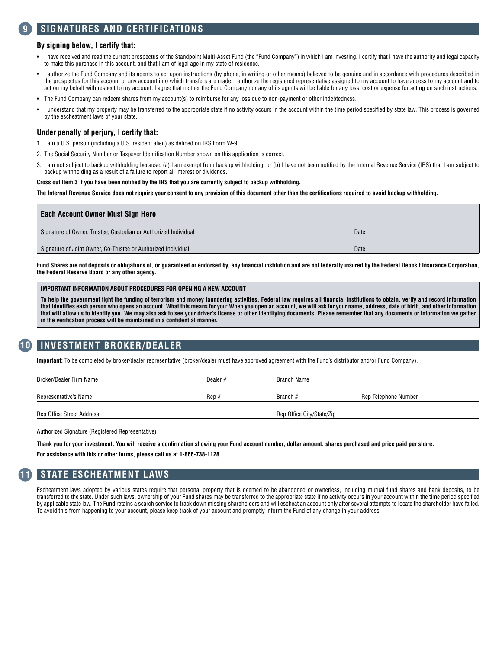## **9 SIGNATURES AND CERTIFICATIONS**

## **By signing below, I certify that:**

- I have received and read the current prospectus of the Standpoint Multi-Asset Fund (the "Fund Company") in which I am investing. I certify that I have the authority and legal capacity to make this purchase in this account, and that I am of legal age in my state of residence.
- I authorize the Fund Company and its agents to act upon instructions (by phone, in writing or other means) believed to be genuine and in accordance with procedures described in the prospectus for this account or any account into which transfers are made. I authorize the registered representative assigned to my account to have access to my account and to act on my behalf with respect to my account. I agree that neither the Fund Company nor any of its agents will be liable for any loss, cost or expense for acting on such instructions.
- The Fund Company can redeem shares from my account(s) to reimburse for any loss due to non-payment or other indebtedness.
- I understand that my property may be transferred to the appropriate state if no activity occurs in the account within the time period specified by state law. This process is governed by the escheatment laws of your state.

## **Under penalty of perjury, I certify that:**

- 1. I am a U.S. person (including a U.S. resident alien) as defined on IRS Form W-9.
- 2. The Social Security Number or Taxpayer Identification Number shown on this application is correct.
- 3. I am not subject to backup withholding because: (a) I am exempt from backup withholding; or (b) I have not been notified by the Internal Revenue Service (IRS) that I am subject to backup withholding as a result of a failure to report all interest or dividends.

#### **Cross out Item 3 if you have been notified by the IRS that you are currently subject to backup withholding.**

**The Internal Revenue Service does not require your consent to any provision of this document other than the certifications required to avoid backup withholding.**

| <b>Each Account Owner Must Sign Here</b>                        |      |  |  |  |
|-----------------------------------------------------------------|------|--|--|--|
| Signature of Owner, Trustee, Custodian or Authorized Individual | Date |  |  |  |
| Signature of Joint Owner, Co-Trustee or Authorized Individual   | Date |  |  |  |

**Fund Shares are not deposits or obligations of, or guaranteed or endorsed by, any financial institution and are not federally insured by the Federal Deposit Insurance Corporation, the Federal Reserve Board or any other agency.**

#### **IMPORTANT INFORMATION ABOUT PROCEDURES FOR OPENING A NEW ACCOUNT**

**To help the government fight the funding of terrorism and money laundering activities, Federal law requires all financial institutions to obtain, verify and record information that identifies each person who opens an account. What this means for you: When you open an account, we will ask for your name, address, date of birth, and other information that will allow us to identify you. We may also ask to see your driver's license or other identifying documents. Please remember that any documents or information we gather in the verification process will be maintained in a confidential manner.**

## **10 INVESTMENT BROKER/DEALER**

**Important:** To be completed by broker/dealer representative (broker/dealer must have approved agreement with the Fund's distributor and/or Fund Company).

| Broker/Dealer Firm Name   | Dealer $#$ | Branch Name               |                      |
|---------------------------|------------|---------------------------|----------------------|
| Representative's Name     | Rep $#$    | Branch $#$                | Rep Telephone Number |
|                           |            |                           |                      |
| Rep Office Street Address |            | Rep Office City/State/Zip |                      |
|                           |            |                           |                      |

Authorized Signature (Registered Representative)

**Thank you for your investment. You will receive a confirmation showing your Fund account number, dollar amount, shares purchased and price paid per share. For assistance with this or other forms, please call us at 1-866-738-1128.**

## **11 STATE ESCHEATMENT LAWS**

Escheatment laws adopted by various states require that personal property that is deemed to be abandoned or ownerless, including mutual fund shares and bank deposits, to be transferred to the state. Under such laws, ownership of your Fund shares may be transferred to the appropriate state if no activity occurs in your account within the time period specified by applicable state law. The Fund retains a search service to track down missing shareholders and will escheat an account only after several attempts to locate the shareholder have failed. To avoid this from happening to your account, please keep track of your account and promptly inform the Fund of any change in your address.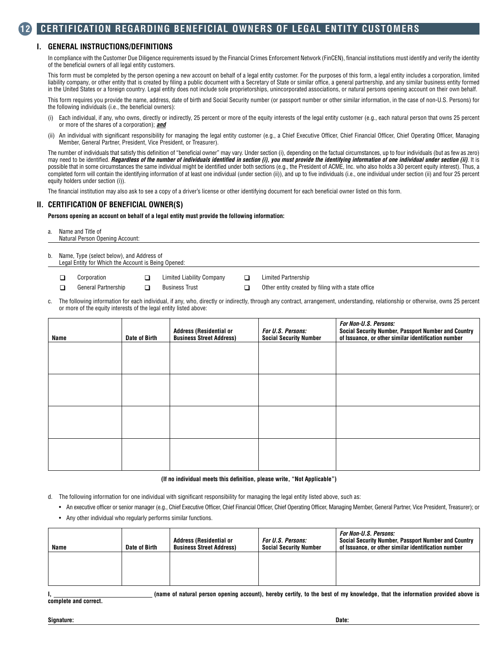### **I. GENERAL INSTRUCTIONS/DEFINITIONS**

In compliance with the Customer Due Diligence requirements issued by the Financial Crimes Enforcement Network (FinCEN), financial institutions must identify and verify the identity of the beneficial owners of all legal entity customers.

This form must be completed by the person opening a new account on behalf of a legal entity customer. For the purposes of this form, a legal entity includes a corporation, limited liability company, or other entity that is created by filing a public document with a Secretary of State or similar office, a general partnership, and any similar business entity formed in the United States or a foreign country. Legal entity does not include sole proprietorships, unincorporated associations, or natural persons opening account on their own behalf.

This form requires you provide the name, address, date of birth and Social Security number (or passport number or other similar information, in the case of non-U.S. Persons) for the following individuals (i.e., the beneficial owners):

- (i) Each individual, if any, who owns, directly or indirectly, 25 percent or more of the equity interests of the legal entity customer (e.g., each natural person that owns 25 percent or more of the shares of a corporation); *and*
- (ii) An individual with significant responsibility for managing the legal entity customer (e.g., a Chief Executive Officer, Chief Financial Officer, Chief Operating Officer, Managing Member, General Partner, President, Vice President, or Treasurer).

The number of individuals that satisfy this definition of "beneficial owner" may vary. Under section (i), depending on the factual circumstances, up to four individuals (but as few as zero) may need to be identified. *Regardless of the number of individuals identified in section (i), you must provide the identifying information of one individual under section (ii)*. It is possible that in some circumstances the same individual might be identified under both sections (e.g., the President of ACME, Inc. who also holds a 30 percent equity interest). Thus, a completed form will contain the identifying information of at least one individual (under section (ii)), and up to five individuals (i.e., one individual under section (ii) and four 25 percent equity holders under section (i)).

The financial institution may also ask to see a copy of a driver's license or other identifying document for each beneficial owner listed on this form.

#### **II. CERTIFICATION OF BENEFICIAL OWNER(S)**

#### **Persons opening an account on behalf of a legal entity must provide the following information:**

- a. Name and Title of Natural Person Opening Account:
- b. Name, Type (select below), and Address of
	- Legal Entity for Which the Account is Being Opened:
	- q Corporation q Limited Liability Company q Limited Partnership
	- **q** General Partnership **q** Business Trust **q** Other entity created by filing with a state office
- c. The following information for each individual, if any, who, directly or indirectly, through any contract, arrangement, understanding, relationship or otherwise, owns 25 percent or more of the equity interests of the legal entity listed above:

| Name | Date of Birth | <b>Address (Residential or</b><br><b>Business Street Address)</b> | <b>For U.S. Persons:</b><br><b>Social Security Number</b> | <b>For Non-U.S. Persons:</b><br>Social Security Number, Passport Number and Country<br>of Issuance, or other similar identification number |
|------|---------------|-------------------------------------------------------------------|-----------------------------------------------------------|--------------------------------------------------------------------------------------------------------------------------------------------|
|      |               |                                                                   |                                                           |                                                                                                                                            |
|      |               |                                                                   |                                                           |                                                                                                                                            |
|      |               |                                                                   |                                                           |                                                                                                                                            |
|      |               |                                                                   |                                                           |                                                                                                                                            |
|      |               |                                                                   |                                                           |                                                                                                                                            |
|      |               |                                                                   |                                                           |                                                                                                                                            |

#### **(If no individual meets this definition, please write, "Not Applicable")**

d. The following information for one individual with significant responsibility for managing the legal entity listed above, such as:

- An executive officer or senior manager (e.g., Chief Executive Officer, Chief Financial Officer, Chief Operating Officer, Managing Member, General Partner, Vice President, Treasurer); or
- Any other individual who regularly performs similar functions.

| Name | Date of Birth | Address (Residential or<br><b>Business Street Address)</b> | <b>For U.S. Persons:</b><br><b>Social Security Number</b> | <b>For Non-U.S. Persons:</b><br>Social Security Number, Passport Number and Country<br>of Issuance, or other similar identification number |
|------|---------------|------------------------------------------------------------|-----------------------------------------------------------|--------------------------------------------------------------------------------------------------------------------------------------------|
|      |               |                                                            |                                                           |                                                                                                                                            |
|      |               |                                                            |                                                           |                                                                                                                                            |

**I, (name of natural person opening account), hereby certify, to the best of my knowledge, that the information provided above is** 

**complete and correct.**